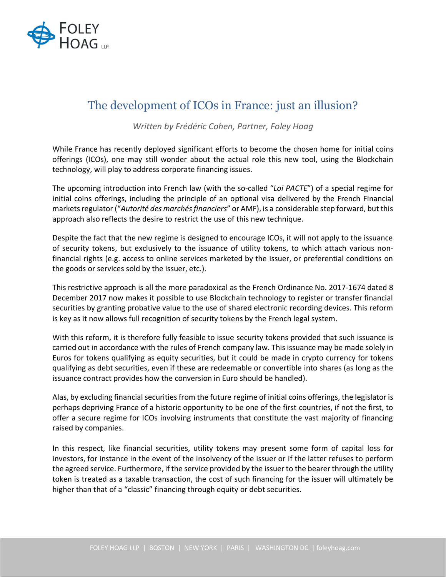

## The development of ICOs in France: just an illusion?

*Written by Frédéric Cohen, Partner, Foley Hoag*

While France has recently deployed significant efforts to become the chosen home for initial coins offerings (ICOs), one may still wonder about the actual role this new tool, using the Blockchain technology, will play to address corporate financing issues.

The upcoming introduction into French law (with the so-called "*Loi PACTE*") of a special regime for initial coins offerings, including the principle of an optional visa delivered by the French Financial markets regulator ("*Autorité des marchés financiers*" or AMF), is a considerable step forward, but this approach also reflects the desire to restrict the use of this new technique.

Despite the fact that the new regime is designed to encourage ICOs, it will not apply to the issuance of security tokens, but exclusively to the issuance of utility tokens, to which attach various nonfinancial rights (e.g. access to online services marketed by the issuer, or preferential conditions on the goods or services sold by the issuer, etc.).

This restrictive approach is all the more paradoxical as the French Ordinance No. 2017-1674 dated 8 December 2017 now makes it possible to use Blockchain technology to register or transfer financial securities by granting probative value to the use of shared electronic recording devices. This reform is key as it now allows full recognition of security tokens by the French legal system.

With this reform, it is therefore fully feasible to issue security tokens provided that such issuance is carried out in accordance with the rules of French company law. This issuance may be made solely in Euros for tokens qualifying as equity securities, but it could be made in crypto currency for tokens qualifying as debt securities, even if these are redeemable or convertible into shares (as long as the issuance contract provides how the conversion in Euro should be handled).

Alas, by excluding financial securities from the future regime of initial coins offerings, the legislator is perhaps depriving France of a historic opportunity to be one of the first countries, if not the first, to offer a secure regime for ICOs involving instruments that constitute the vast majority of financing raised by companies.

In this respect, like financial securities, utility tokens may present some form of capital loss for investors, for instance in the event of the insolvency of the issuer or if the latter refuses to perform the agreed service. Furthermore, if the service provided by the issuer to the bearer through the utility token is treated as a taxable transaction, the cost of such financing for the issuer will ultimately be higher than that of a "classic" financing through equity or debt securities.